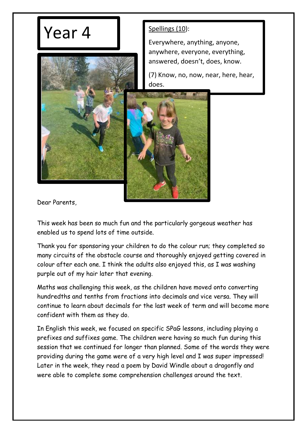## $Year 4$   $S<sub>pellings (10)</sub>:$



Everywhere, anything, anyone, anywhere, everyone, everything, answered, doesn't, does, know.

(7) Know, no, now, near, here, hear, does.



Dear Parents,

This week has been so much fun and the particularly gorgeous weather has enabled us to spend lots of time outside.

Thank you for sponsoring your children to do the colour run; they completed so many circuits of the obstacle course and thoroughly enjoyed getting covered in colour after each one. I think the adults also enjoyed this, as I was washing purple out of my hair later that evening.

Maths was challenging this week, as the children have moved onto converting hundredths and tenths from fractions into decimals and vice versa. They will continue to learn about decimals for the last week of term and will become more confident with them as they do.

In English this week, we focused on specific SPaG lessons, including playing a prefixes and suffixes game. The children were having so much fun during this session that we continued for longer than planned. Some of the words they were providing during the game were of a very high level and I was super impressed! Later in the week, they read a poem by David Windle about a dragonfly and were able to complete some comprehension challenges around the text.